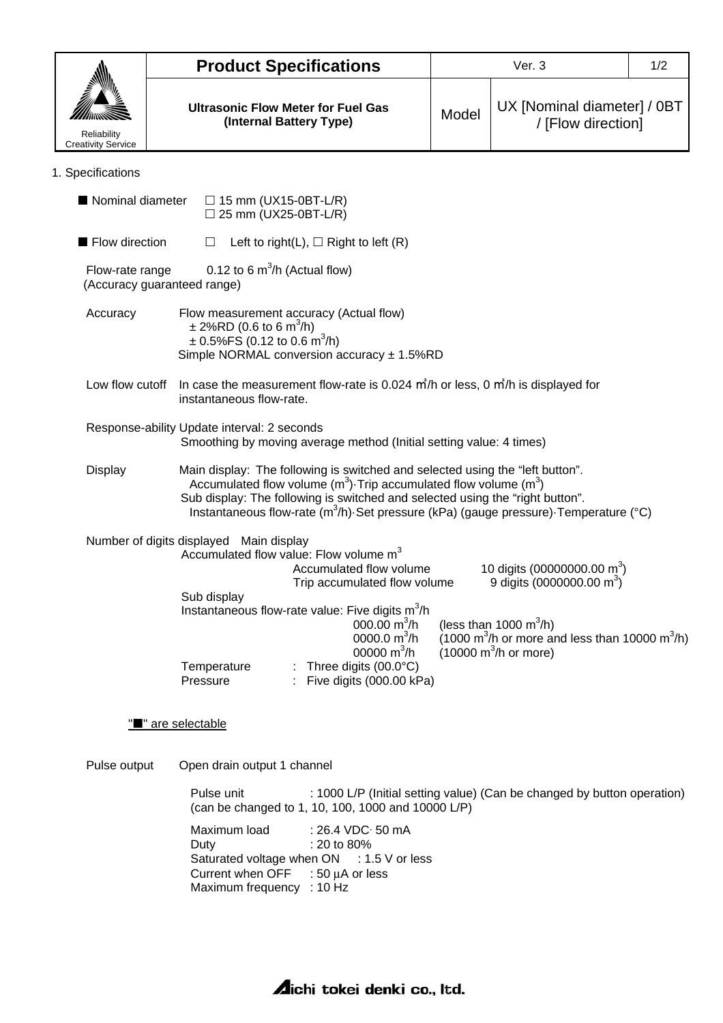|                                                                                                                    |                                                                                                                                                                                  |                                                                                                                                                                                                                                                                                                                                                  | Ver. 3<br>1/2 |                                                                                  |  |  |  |  |
|--------------------------------------------------------------------------------------------------------------------|----------------------------------------------------------------------------------------------------------------------------------------------------------------------------------|--------------------------------------------------------------------------------------------------------------------------------------------------------------------------------------------------------------------------------------------------------------------------------------------------------------------------------------------------|---------------|----------------------------------------------------------------------------------|--|--|--|--|
|                                                                                                                    | <b>Product Specifications</b>                                                                                                                                                    |                                                                                                                                                                                                                                                                                                                                                  |               |                                                                                  |  |  |  |  |
|                                                                                                                    | <b>Ultrasonic Flow Meter for Fuel Gas</b><br>(Internal Battery Type)                                                                                                             |                                                                                                                                                                                                                                                                                                                                                  | Model         | UX [Nominal diameter] / 0BT<br>/ [Flow direction]                                |  |  |  |  |
| Reliability<br><b>Creativity Service</b>                                                                           |                                                                                                                                                                                  |                                                                                                                                                                                                                                                                                                                                                  |               |                                                                                  |  |  |  |  |
| 1. Specifications                                                                                                  |                                                                                                                                                                                  |                                                                                                                                                                                                                                                                                                                                                  |               |                                                                                  |  |  |  |  |
| Nominal diameter                                                                                                   | $\Box$ 15 mm (UX15-0BT-L/R)<br>$\Box$ 25 mm (UX25-0BT-L/R)                                                                                                                       |                                                                                                                                                                                                                                                                                                                                                  |               |                                                                                  |  |  |  |  |
| Flow direction                                                                                                     | $\Box$                                                                                                                                                                           | Left to right(L), $\Box$ Right to left (R)                                                                                                                                                                                                                                                                                                       |               |                                                                                  |  |  |  |  |
| 0.12 to 6 $m^3/h$ (Actual flow)<br>Flow-rate range<br>(Accuracy guaranteed range)                                  |                                                                                                                                                                                  |                                                                                                                                                                                                                                                                                                                                                  |               |                                                                                  |  |  |  |  |
| Accuracy                                                                                                           | Flow measurement accuracy (Actual flow)<br>$\pm$ 2%RD (0.6 to 6 m <sup>3</sup> /h)<br>$\pm$ 0.5%FS (0.12 to 0.6 m <sup>3</sup> /h)<br>Simple NORMAL conversion accuracy ± 1.5%RD |                                                                                                                                                                                                                                                                                                                                                  |               |                                                                                  |  |  |  |  |
| Low flow cutoff                                                                                                    | In case the measurement flow-rate is 0.024 m <sup>3</sup> /h or less, 0 m <sup>3</sup> /h is displayed for<br>instantaneous flow-rate.                                           |                                                                                                                                                                                                                                                                                                                                                  |               |                                                                                  |  |  |  |  |
| Response-ability Update interval: 2 seconds<br>Smoothing by moving average method (Initial setting value: 4 times) |                                                                                                                                                                                  |                                                                                                                                                                                                                                                                                                                                                  |               |                                                                                  |  |  |  |  |
| <b>Display</b>                                                                                                     |                                                                                                                                                                                  | Main display: The following is switched and selected using the "left button".<br>Accumulated flow volume $(m^3)$ . Trip accumulated flow volume $(m^3)$<br>Sub display: The following is switched and selected using the "right button".<br>Instantaneous flow-rate $(m^3/h)$ . Set pressure (kPa) (gauge pressure). Temperature ( $^{\circ}$ C) |               |                                                                                  |  |  |  |  |
|                                                                                                                    | Number of digits displayed Main display                                                                                                                                          |                                                                                                                                                                                                                                                                                                                                                  |               |                                                                                  |  |  |  |  |
|                                                                                                                    | Accumulated flow value: Flow volume m <sup>3</sup>                                                                                                                               | Accumulated flow volume<br>Trip accumulated flow volume                                                                                                                                                                                                                                                                                          |               | 10 digits (00000000.00 m <sup>3</sup> )<br>9 digits (0000000.00 m <sup>3</sup> ) |  |  |  |  |
|                                                                                                                    | Sub display                                                                                                                                                                      | Instantaneous flow-rate value: Five digits m <sup>3</sup> /h<br>000.00 $m^3/h$<br>(less than 1000 $m^3/h$ )<br>$(1000 \text{ m}^3/h)$ or more and less than 10000 m <sup>3</sup> /h)<br>0000.0 $m^3/h$<br>$(10000 \text{ m}^3/h \text{ or more})$                                                                                                |               |                                                                                  |  |  |  |  |
|                                                                                                                    | Temperature<br>Pressure                                                                                                                                                          | 00000 $m^3/h$<br>: Three digits $(00.0^{\circ}C)$<br>: Five digits (000.00 kPa)                                                                                                                                                                                                                                                                  |               |                                                                                  |  |  |  |  |
|                                                                                                                    | "■" are selectable                                                                                                                                                               |                                                                                                                                                                                                                                                                                                                                                  |               |                                                                                  |  |  |  |  |
| Pulse output                                                                                                       |                                                                                                                                                                                  | Open drain output 1 channel                                                                                                                                                                                                                                                                                                                      |               |                                                                                  |  |  |  |  |
|                                                                                                                    | Pulse unit                                                                                                                                                                       | : 1000 L/P (Initial setting value) (Can be changed by button operation)<br>(can be changed to 1, 10, 100, 1000 and 10000 L/P)                                                                                                                                                                                                                    |               |                                                                                  |  |  |  |  |
|                                                                                                                    | Maximum load<br>Duty                                                                                                                                                             | : 26.4 VDC 50 mA<br>: 20 to 80%                                                                                                                                                                                                                                                                                                                  |               |                                                                                  |  |  |  |  |

Saturated voltage when ON : 1.5 V or less Current when  $\mathsf{OFF}$  : 50  $\mu\mathsf{A}$  or less

Maximum frequency : 10 Hz

**Aichi tokei denki co., Itd.**